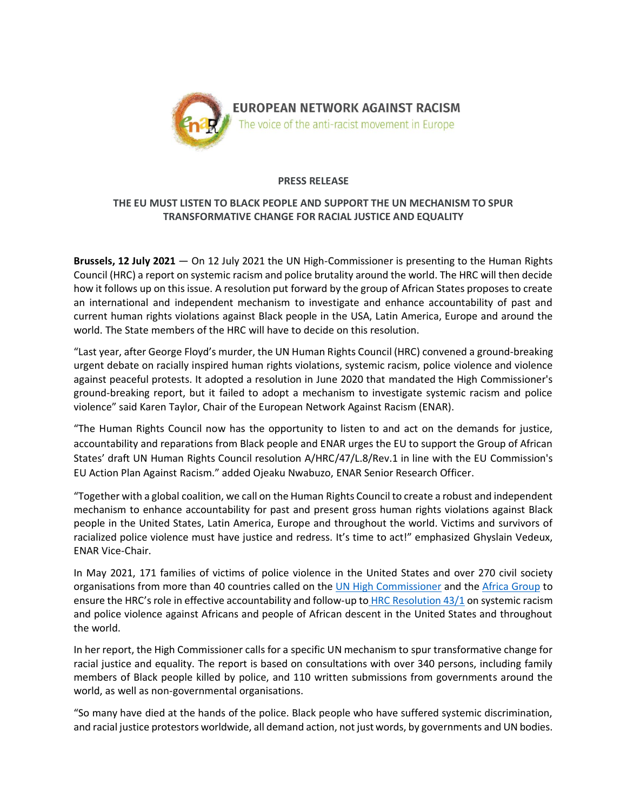

### **PRESS RELEASE**

# **THE EU MUST LISTEN TO BLACK PEOPLE AND SUPPORT THE UN MECHANISM TO SPUR TRANSFORMATIVE CHANGE FOR RACIAL JUSTICE AND EQUALITY**

**Brussels, 12 July 2021** — On 12 July 2021 the UN High-Commissioner is presenting to the Human Rights Council (HRC) a report on systemic racism and police brutality around the world. The HRC will then decide how it follows up on this issue. A resolution put forward by the group of African States proposes to create an international and independent mechanism to investigate and enhance accountability of past and current human rights violations against Black people in the USA, Latin America, Europe and around the world. The State members of the HRC will have to decide on this resolution.

"Last year, after George Floyd's murder, the UN Human Rights Council (HRC) convened a ground-breaking urgent debate on racially inspired human rights violations, systemic racism, police violence and violence against peaceful protests. It adopted a resolution in June 2020 that mandated the High Commissioner's ground-breaking report, but it failed to adopt a mechanism to investigate systemic racism and police violence" said Karen Taylor, Chair of the European Network Against Racism (ENAR).

"The Human Rights Council now has the opportunity to listen to and act on the demands for justice, accountability and reparations from Black people and ENAR urges the EU to support the Group of African States' draft UN Human Rights Council resolution A/HRC/47/L.8/Rev.1 in line with the EU Commission's EU Action Plan Against Racism." added Ojeaku Nwabuzo, ENAR Senior Research Officer.

"Together with a global coalition, we call on the Human Rights Council to create a robust and independent mechanism to enhance accountability for past and present gross human rights violations against Black people in the United States, Latin America, Europe and throughout the world. Victims and survivors of racialized police violence must have justice and redress. It's time to act!" emphasized Ghyslain Vedeux, ENAR Vice-Chair.

In May 2021, 171 families of victims of police violence in the United States and over 270 civil society organisations from more than 40 countries called on the [UN High Commissioner](https://www.aclu.org/letter/coalition-letter-calling-united-nations-inquiry-us-police-violence) and the [Africa Group](https://www.aclu.org/letter/coalition-letter-un-african-group-ensuring-effective-accountability-police-violence-us) to ensure the HRC's role in effective accountability and follow-up to [HRC Resolution 43/1](https://undocs.org/A/HRC/RES/43/1) on systemic racism and police violence against Africans and people of African descent in the United States and throughout the world.

In her report, the High Commissioner calls for a specific UN mechanism to spur transformative change for racial justice and equality. The report is based on consultations with over 340 persons, including family members of Black people killed by police, and 110 written submissions from governments around the world, as well as non-governmental organisations.

"So many have died at the hands of the police. Black people who have suffered systemic discrimination, and racial justice protestors worldwide, all demand action, not just words, by governments and UN bodies.